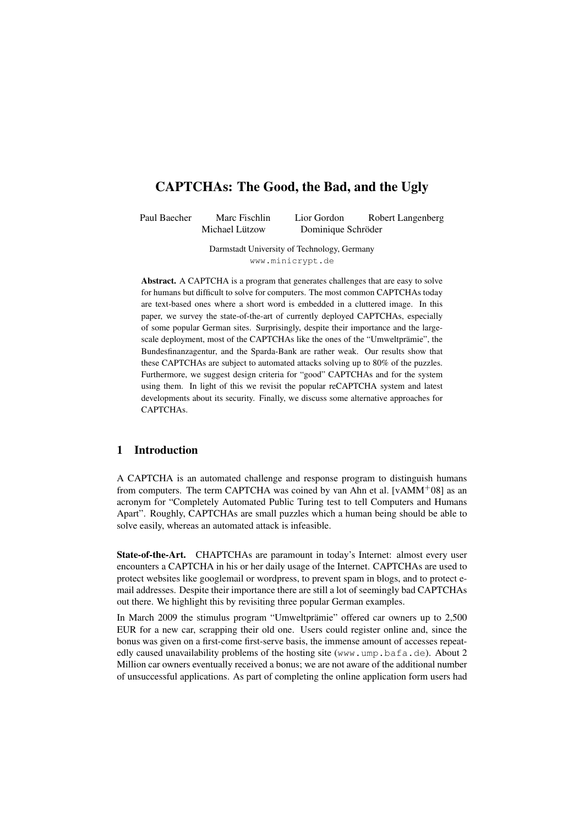# CAPTCHAs: The Good, the Bad, and the Ugly

Paul Baecher Marc Fischlin Lior Gordon Robert Langenberg Michael Lützow Dominique Schröder

> Darmstadt University of Technology, Germany www.minicrypt.de

Abstract. A CAPTCHA is a program that generates challenges that are easy to solve for humans but difficult to solve for computers. The most common CAPTCHAs today are text-based ones where a short word is embedded in a cluttered image. In this paper, we survey the state-of-the-art of currently deployed CAPTCHAs, especially of some popular German sites. Surprisingly, despite their importance and the largescale deployment, most of the CAPTCHAs like the ones of the "Umweltprämie", the Bundesfinanzagentur, and the Sparda-Bank are rather weak. Our results show that these CAPTCHAs are subject to automated attacks solving up to 80% of the puzzles. Furthermore, we suggest design criteria for "good" CAPTCHAs and for the system using them. In light of this we revisit the popular reCAPTCHA system and latest developments about its security. Finally, we discuss some alternative approaches for CAPTCHAs.

### 1 Introduction

A CAPTCHA is an automated challenge and response program to distinguish humans from computers. The term CAPTCHA was coined by van Ahn et al.  $[vAMM<sup>+</sup>08]$  as an acronym for "Completely Automated Public Turing test to tell Computers and Humans Apart". Roughly, CAPTCHAs are small puzzles which a human being should be able to solve easily, whereas an automated attack is infeasible.

State-of-the-Art. CHAPTCHAs are paramount in today's Internet: almost every user encounters a CAPTCHA in his or her daily usage of the Internet. CAPTCHAs are used to protect websites like googlemail or wordpress, to prevent spam in blogs, and to protect email addresses. Despite their importance there are still a lot of seemingly bad CAPTCHAs out there. We highlight this by revisiting three popular German examples.

In March 2009 the stimulus program "Umweltprämie" offered car owners up to 2,500 EUR for a new car, scrapping their old one. Users could register online and, since the bonus was given on a first-come first-serve basis, the immense amount of accesses repeatedly caused unavailability problems of the hosting site (www.ump.bafa.de). About 2 Million car owners eventually received a bonus; we are not aware of the additional number of unsuccessful applications. As part of completing the online application form users had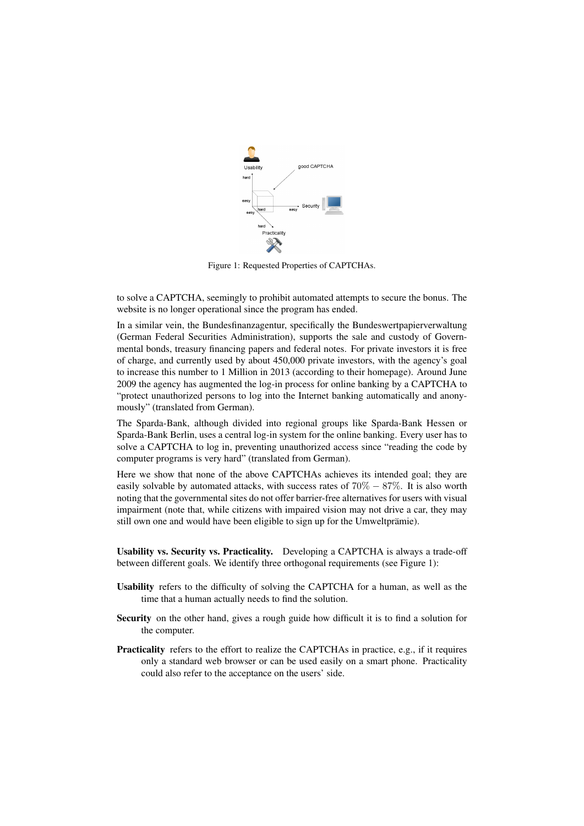

Figure 1: Requested Properties of CAPTCHAs.

to solve a CAPTCHA, seemingly to prohibit automated attempts to secure the bonus. The website is no longer operational since the program has ended.

In a similar vein, the Bundesfinanzagentur, specifically the Bundeswertpapierverwaltung (German Federal Securities Administration), supports the sale and custody of Governmental bonds, treasury financing papers and federal notes. For private investors it is free of charge, and currently used by about 450,000 private investors, with the agency's goal to increase this number to 1 Million in 2013 (according to their homepage). Around June 2009 the agency has augmented the log-in process for online banking by a CAPTCHA to "protect unauthorized persons to log into the Internet banking automatically and anonymously" (translated from German).

The Sparda-Bank, although divided into regional groups like Sparda-Bank Hessen or Sparda-Bank Berlin, uses a central log-in system for the online banking. Every user has to solve a CAPTCHA to log in, preventing unauthorized access since "reading the code by computer programs is very hard" (translated from German).

Here we show that none of the above CAPTCHAs achieves its intended goal; they are easily solvable by automated attacks, with success rates of  $70\% - 87\%$ . It is also worth noting that the governmental sites do not offer barrier-free alternatives for users with visual impairment (note that, while citizens with impaired vision may not drive a car, they may still own one and would have been eligible to sign up for the Umweltprämie).

Usability vs. Security vs. Practicality. Developing a CAPTCHA is always a trade-off between different goals. We identify three orthogonal requirements (see Figure 1):

- Usability refers to the difficulty of solving the CAPTCHA for a human, as well as the time that a human actually needs to find the solution.
- Security on the other hand, gives a rough guide how difficult it is to find a solution for the computer.
- Practicality refers to the effort to realize the CAPTCHAs in practice, e.g., if it requires only a standard web browser or can be used easily on a smart phone. Practicality could also refer to the acceptance on the users' side.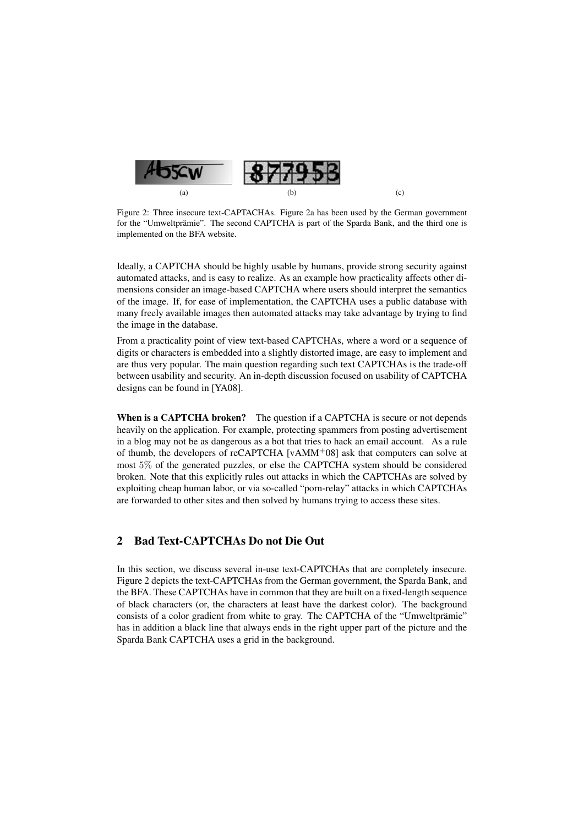

Figure 2: Three insecure text-CAPTACHAs. Figure 2a has been used by the German government for the "Umweltprämie". The second CAPTCHA is part of the Sparda Bank, and the third one is implemented on the BFA website.

Ideally, a CAPTCHA should be highly usable by humans, provide strong security against automated attacks, and is easy to realize. As an example how practicality affects other dimensions consider an image-based CAPTCHA where users should interpret the semantics of the image. If, for ease of implementation, the CAPTCHA uses a public database with many freely available images then automated attacks may take advantage by trying to find the image in the database.

From a practicality point of view text-based CAPTCHAs, where a word or a sequence of digits or characters is embedded into a slightly distorted image, are easy to implement and are thus very popular. The main question regarding such text CAPTCHAs is the trade-off between usability and security. An in-depth discussion focused on usability of CAPTCHA designs can be found in [YA08].

When is a CAPTCHA broken? The question if a CAPTCHA is secure or not depends heavily on the application. For example, protecting spammers from posting advertisement in a blog may not be as dangerous as a bot that tries to hack an email account. As a rule of thumb, the developers of reCAPTCHA [vAMM<sup>+</sup>08] ask that computers can solve at most 5% of the generated puzzles, or else the CAPTCHA system should be considered broken. Note that this explicitly rules out attacks in which the CAPTCHAs are solved by exploiting cheap human labor, or via so-called "porn-relay" attacks in which CAPTCHAs are forwarded to other sites and then solved by humans trying to access these sites.

### 2 Bad Text-CAPTCHAs Do not Die Out

In this section, we discuss several in-use text-CAPTCHAs that are completely insecure. Figure 2 depicts the text-CAPTCHAs from the German government, the Sparda Bank, and the BFA. These CAPTCHAs have in common that they are built on a fixed-length sequence of black characters (or, the characters at least have the darkest color). The background consists of a color gradient from white to gray. The CAPTCHA of the "Umweltprämie" has in addition a black line that always ends in the right upper part of the picture and the Sparda Bank CAPTCHA uses a grid in the background.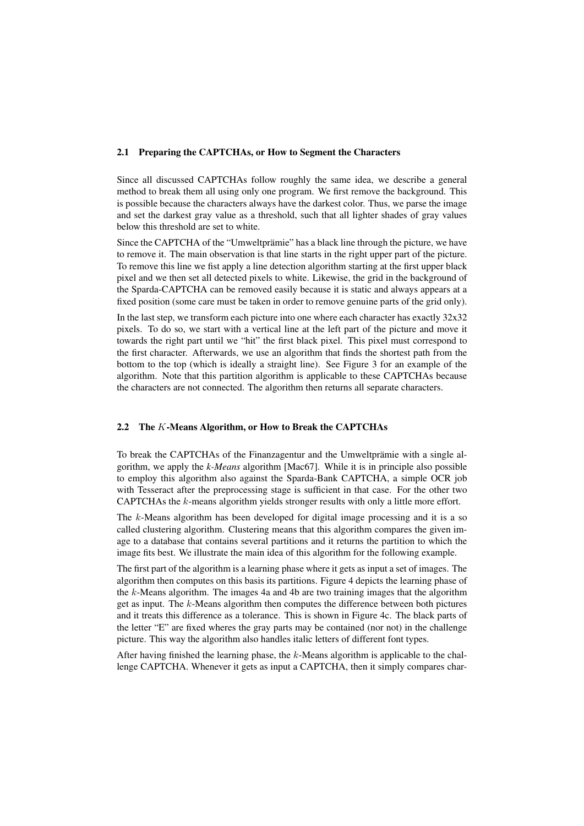#### 2.1 Preparing the CAPTCHAs, or How to Segment the Characters

Since all discussed CAPTCHAs follow roughly the same idea, we describe a general method to break them all using only one program. We first remove the background. This is possible because the characters always have the darkest color. Thus, we parse the image and set the darkest gray value as a threshold, such that all lighter shades of gray values below this threshold are set to white.

Since the CAPTCHA of the "Umweltprämie" has a black line through the picture, we have to remove it. The main observation is that line starts in the right upper part of the picture. To remove this line we fist apply a line detection algorithm starting at the first upper black pixel and we then set all detected pixels to white. Likewise, the grid in the background of the Sparda-CAPTCHA can be removed easily because it is static and always appears at a fixed position (some care must be taken in order to remove genuine parts of the grid only).

In the last step, we transform each picture into one where each character has exactly 32x32 pixels. To do so, we start with a vertical line at the left part of the picture and move it towards the right part until we "hit" the first black pixel. This pixel must correspond to the first character. Afterwards, we use an algorithm that finds the shortest path from the bottom to the top (which is ideally a straight line). See Figure 3 for an example of the algorithm. Note that this partition algorithm is applicable to these CAPTCHAs because the characters are not connected. The algorithm then returns all separate characters.

#### 2.2 The K-Means Algorithm, or How to Break the CAPTCHAs

To break the CAPTCHAs of the Finanzagentur and the Umweltprämie with a single algorithm, we apply the *k-Means* algorithm [Mac67]. While it is in principle also possible to employ this algorithm also against the Sparda-Bank CAPTCHA, a simple OCR job with Tesseract after the preprocessing stage is sufficient in that case. For the other two CAPTCHAs the k-means algorithm yields stronger results with only a little more effort.

The  $k$ -Means algorithm has been developed for digital image processing and it is a so called clustering algorithm. Clustering means that this algorithm compares the given image to a database that contains several partitions and it returns the partition to which the image fits best. We illustrate the main idea of this algorithm for the following example.

The first part of the algorithm is a learning phase where it gets as input a set of images. The algorithm then computes on this basis its partitions. Figure 4 depicts the learning phase of the  $k$ -Means algorithm. The images 4a and 4b are two training images that the algorithm get as input. The  $k$ -Means algorithm then computes the difference between both pictures and it treats this difference as a tolerance. This is shown in Figure 4c. The black parts of the letter "E" are fixed wheres the gray parts may be contained (nor not) in the challenge picture. This way the algorithm also handles italic letters of different font types.

After having finished the learning phase, the k-Means algorithm is applicable to the challenge CAPTCHA. Whenever it gets as input a CAPTCHA, then it simply compares char-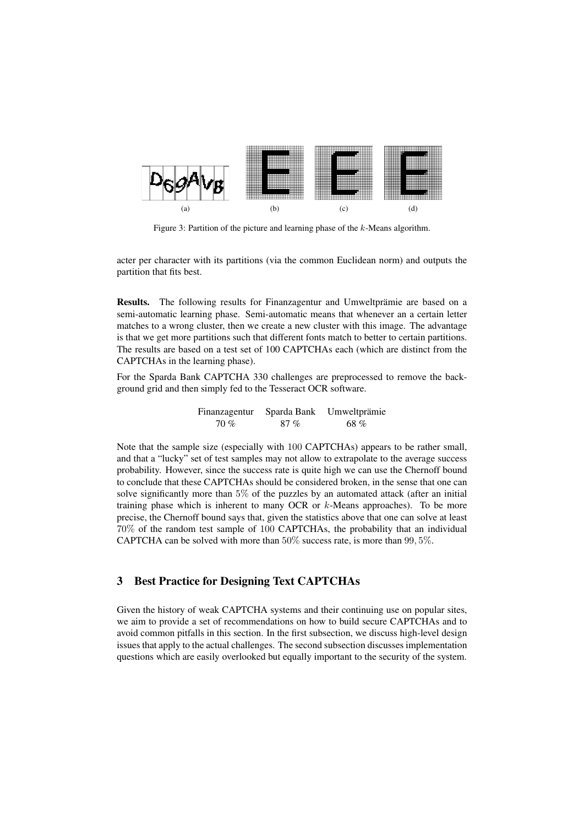

Figure 3: Partition of the picture and learning phase of the k-Means algorithm.

acter per character with its partitions (via the common Euclidean norm) and outputs the partition that fits best.

Results. The following results for Finanzagentur and Umweltprämie are based on a semi-automatic learning phase. Semi-automatic means that whenever an a certain letter matches to a wrong cluster, then we create a new cluster with this image. The advantage is that we get more partitions such that different fonts match to better to certain partitions. The results are based on a test set of 100 CAPTCHAs each (which are distinct from the CAPTCHAs in the learning phase).

For the Sparda Bank CAPTCHA 330 challenges are preprocessed to remove the background grid and then simply fed to the Tesseract OCR software.

| Finanzagentur | Sparda Bank | Umweltprämie |
|---------------|-------------|--------------|
| 70%           | 87%         | 68 %         |

Note that the sample size (especially with 100 CAPTCHAs) appears to be rather small, and that a "lucky" set of test samples may not allow to extrapolate to the average success probability. However, since the success rate is quite high we can use the Chernoff bound to conclude that these CAPTCHAs should be considered broken, in the sense that one can solve significantly more than 5% of the puzzles by an automated attack (after an initial training phase which is inherent to many OCR or k-Means approaches). To be more precise, the Chernoff bound says that, given the statistics above that one can solve at least 70% of the random test sample of 100 CAPTCHAs, the probability that an individual CAPTCHA can be solved with more than 50% success rate, is more than 99, 5%.

## 3 Best Practice for Designing Text CAPTCHAs

Given the history of weak CAPTCHA systems and their continuing use on popular sites, we aim to provide a set of recommendations on how to build secure CAPTCHAs and to avoid common pitfalls in this section. In the first subsection, we discuss high-level design issues that apply to the actual challenges. The second subsection discusses implementation questions which are easily overlooked but equally important to the security of the system.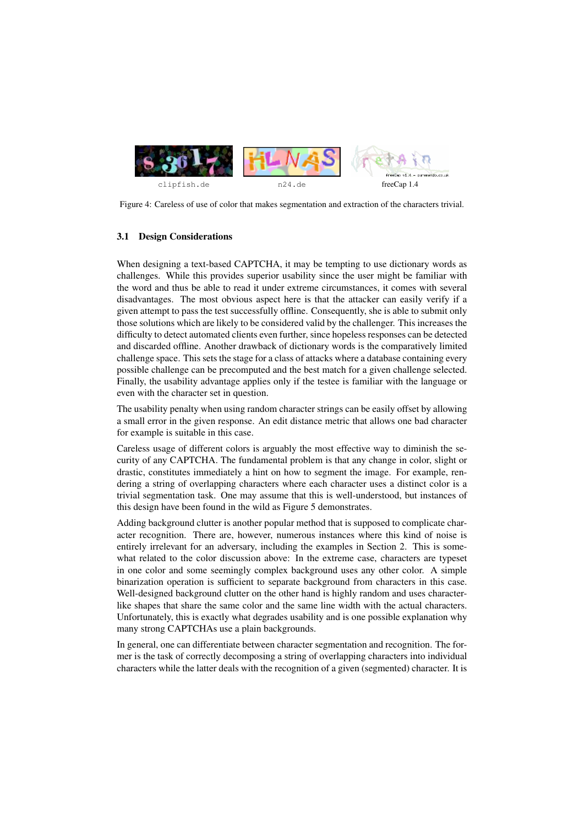

Figure 4: Careless of use of color that makes segmentation and extraction of the characters trivial.

#### 3.1 Design Considerations

When designing a text-based CAPTCHA, it may be tempting to use dictionary words as challenges. While this provides superior usability since the user might be familiar with the word and thus be able to read it under extreme circumstances, it comes with several disadvantages. The most obvious aspect here is that the attacker can easily verify if a given attempt to pass the test successfully offline. Consequently, she is able to submit only those solutions which are likely to be considered valid by the challenger. This increases the difficulty to detect automated clients even further, since hopeless responses can be detected and discarded offline. Another drawback of dictionary words is the comparatively limited challenge space. This sets the stage for a class of attacks where a database containing every possible challenge can be precomputed and the best match for a given challenge selected. Finally, the usability advantage applies only if the testee is familiar with the language or even with the character set in question.

The usability penalty when using random character strings can be easily offset by allowing a small error in the given response. An edit distance metric that allows one bad character for example is suitable in this case.

Careless usage of different colors is arguably the most effective way to diminish the security of any CAPTCHA. The fundamental problem is that any change in color, slight or drastic, constitutes immediately a hint on how to segment the image. For example, rendering a string of overlapping characters where each character uses a distinct color is a trivial segmentation task. One may assume that this is well-understood, but instances of this design have been found in the wild as Figure 5 demonstrates.

Adding background clutter is another popular method that is supposed to complicate character recognition. There are, however, numerous instances where this kind of noise is entirely irrelevant for an adversary, including the examples in Section 2. This is somewhat related to the color discussion above: In the extreme case, characters are typeset in one color and some seemingly complex background uses any other color. A simple binarization operation is sufficient to separate background from characters in this case. Well-designed background clutter on the other hand is highly random and uses characterlike shapes that share the same color and the same line width with the actual characters. Unfortunately, this is exactly what degrades usability and is one possible explanation why many strong CAPTCHAs use a plain backgrounds.

In general, one can differentiate between character segmentation and recognition. The former is the task of correctly decomposing a string of overlapping characters into individual characters while the latter deals with the recognition of a given (segmented) character. It is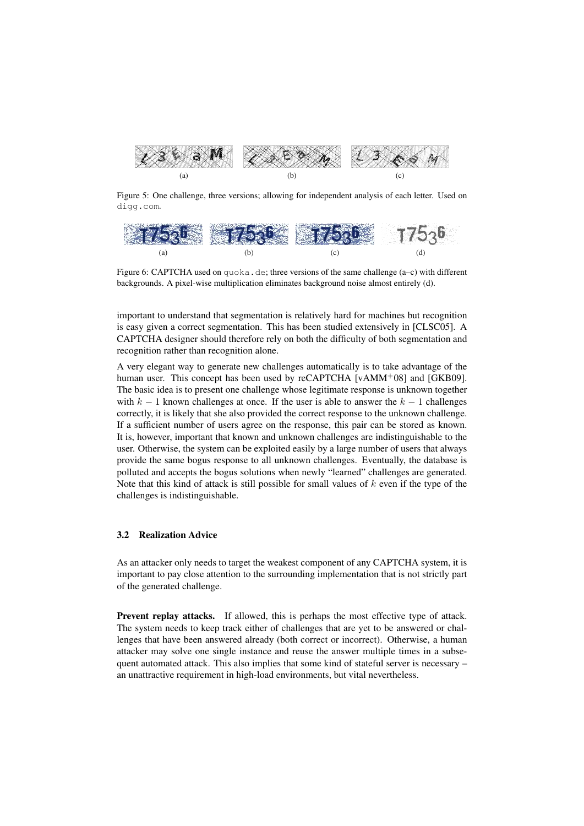

Figure 5: One challenge, three versions; allowing for independent analysis of each letter. Used on digg.com.



Figure 6: CAPTCHA used on  $quoka$ .de; three versions of the same challenge  $(a-c)$  with different backgrounds. A pixel-wise multiplication eliminates background noise almost entirely (d).

important to understand that segmentation is relatively hard for machines but recognition is easy given a correct segmentation. This has been studied extensively in [CLSC05]. A CAPTCHA designer should therefore rely on both the difficulty of both segmentation and recognition rather than recognition alone.

A very elegant way to generate new challenges automatically is to take advantage of the human user. This concept has been used by reCAPTCHA [vAMM<sup>+</sup>08] and [GKB09]. The basic idea is to present one challenge whose legitimate response is unknown together with  $k - 1$  known challenges at once. If the user is able to answer the  $k - 1$  challenges correctly, it is likely that she also provided the correct response to the unknown challenge. If a sufficient number of users agree on the response, this pair can be stored as known. It is, however, important that known and unknown challenges are indistinguishable to the user. Otherwise, the system can be exploited easily by a large number of users that always provide the same bogus response to all unknown challenges. Eventually, the database is polluted and accepts the bogus solutions when newly "learned" challenges are generated. Note that this kind of attack is still possible for small values of  $k$  even if the type of the challenges is indistinguishable.

### 3.2 Realization Advice

As an attacker only needs to target the weakest component of any CAPTCHA system, it is important to pay close attention to the surrounding implementation that is not strictly part of the generated challenge.

Prevent replay attacks. If allowed, this is perhaps the most effective type of attack. The system needs to keep track either of challenges that are yet to be answered or challenges that have been answered already (both correct or incorrect). Otherwise, a human attacker may solve one single instance and reuse the answer multiple times in a subsequent automated attack. This also implies that some kind of stateful server is necessary – an unattractive requirement in high-load environments, but vital nevertheless.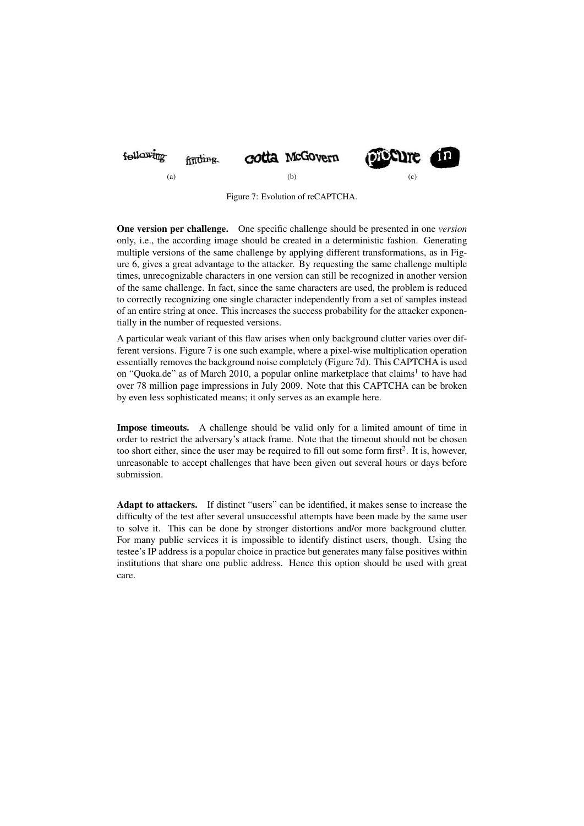

Figure 7: Evolution of reCAPTCHA.

One version per challenge. One specific challenge should be presented in one *version* only, i.e., the according image should be created in a deterministic fashion. Generating multiple versions of the same challenge by applying different transformations, as in Figure 6, gives a great advantage to the attacker. By requesting the same challenge multiple times, unrecognizable characters in one version can still be recognized in another version of the same challenge. In fact, since the same characters are used, the problem is reduced to correctly recognizing one single character independently from a set of samples instead of an entire string at once. This increases the success probability for the attacker exponentially in the number of requested versions.

A particular weak variant of this flaw arises when only background clutter varies over different versions. Figure 7 is one such example, where a pixel-wise multiplication operation essentially removes the background noise completely (Figure 7d). This CAPTCHA is used on "Quoka.de" as of March 2010, a popular online marketplace that claims<sup>1</sup> to have had over 78 million page impressions in July 2009. Note that this CAPTCHA can be broken by even less sophisticated means; it only serves as an example here.

Impose timeouts. A challenge should be valid only for a limited amount of time in order to restrict the adversary's attack frame. Note that the timeout should not be chosen too short either, since the user may be required to fill out some form first<sup>2</sup>. It is, however, unreasonable to accept challenges that have been given out several hours or days before submission.

Adapt to attackers. If distinct "users" can be identified, it makes sense to increase the difficulty of the test after several unsuccessful attempts have been made by the same user to solve it. This can be done by stronger distortions and/or more background clutter. For many public services it is impossible to identify distinct users, though. Using the testee's IP address is a popular choice in practice but generates many false positives within institutions that share one public address. Hence this option should be used with great care.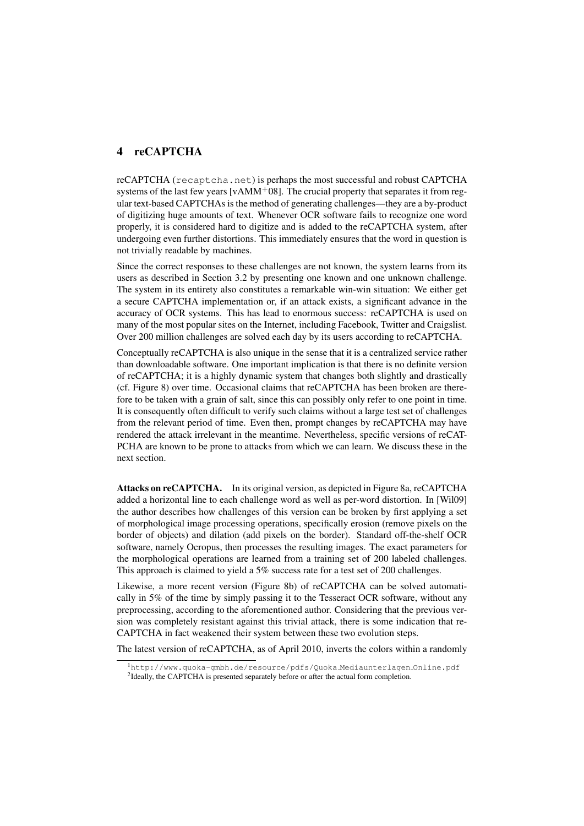## 4 reCAPTCHA

reCAPTCHA (recaptcha.net) is perhaps the most successful and robust CAPTCHA systems of the last few years [v $AMM<sup>+</sup>08$ ]. The crucial property that separates it from regular text-based CAPTCHAs is the method of generating challenges—they are a by-product of digitizing huge amounts of text. Whenever OCR software fails to recognize one word properly, it is considered hard to digitize and is added to the reCAPTCHA system, after undergoing even further distortions. This immediately ensures that the word in question is not trivially readable by machines.

Since the correct responses to these challenges are not known, the system learns from its users as described in Section 3.2 by presenting one known and one unknown challenge. The system in its entirety also constitutes a remarkable win-win situation: We either get a secure CAPTCHA implementation or, if an attack exists, a significant advance in the accuracy of OCR systems. This has lead to enormous success: reCAPTCHA is used on many of the most popular sites on the Internet, including Facebook, Twitter and Craigslist. Over 200 million challenges are solved each day by its users according to reCAPTCHA.

Conceptually reCAPTCHA is also unique in the sense that it is a centralized service rather than downloadable software. One important implication is that there is no definite version of reCAPTCHA; it is a highly dynamic system that changes both slightly and drastically (cf. Figure 8) over time. Occasional claims that reCAPTCHA has been broken are therefore to be taken with a grain of salt, since this can possibly only refer to one point in time. It is consequently often difficult to verify such claims without a large test set of challenges from the relevant period of time. Even then, prompt changes by reCAPTCHA may have rendered the attack irrelevant in the meantime. Nevertheless, specific versions of reCAT-PCHA are known to be prone to attacks from which we can learn. We discuss these in the next section.

Attacks on reCAPTCHA. In its original version, as depicted in Figure 8a, reCAPTCHA added a horizontal line to each challenge word as well as per-word distortion. In [Wil09] the author describes how challenges of this version can be broken by first applying a set of morphological image processing operations, specifically erosion (remove pixels on the border of objects) and dilation (add pixels on the border). Standard off-the-shelf OCR software, namely Ocropus, then processes the resulting images. The exact parameters for the morphological operations are learned from a training set of 200 labeled challenges. This approach is claimed to yield a 5% success rate for a test set of 200 challenges.

Likewise, a more recent version (Figure 8b) of reCAPTCHA can be solved automatically in 5% of the time by simply passing it to the Tesseract OCR software, without any preprocessing, according to the aforementioned author. Considering that the previous version was completely resistant against this trivial attack, there is some indication that re-CAPTCHA in fact weakened their system between these two evolution steps.

The latest version of reCAPTCHA, as of April 2010, inverts the colors within a randomly

<sup>&</sup>lt;sup>1</sup>http://www.quoka-gmbh.de/resource/pdfs/Quoka\_Mediaunterlagen\_Online.pdf

<sup>&</sup>lt;sup>2</sup>Ideally, the CAPTCHA is presented separately before or after the actual form completion.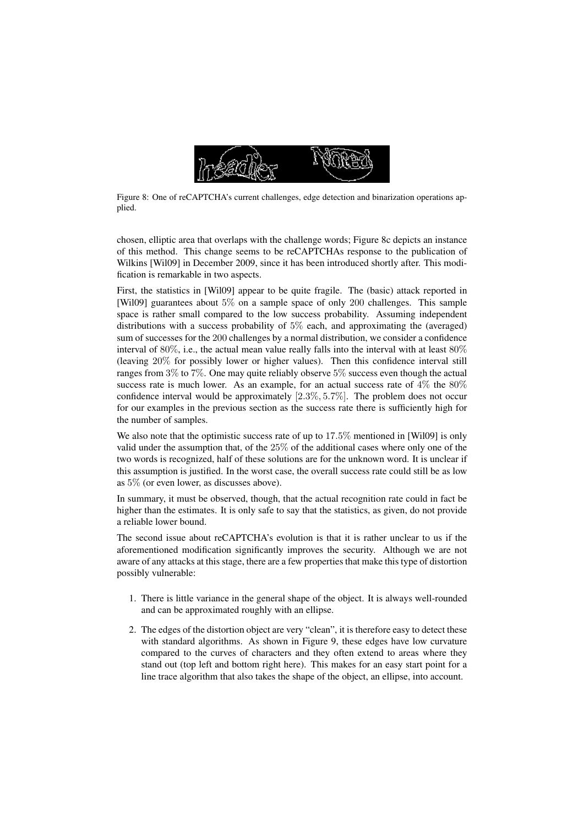

Figure 8: One of reCAPTCHA's current challenges, edge detection and binarization operations applied.

chosen, elliptic area that overlaps with the challenge words; Figure 8c depicts an instance of this method. This change seems to be reCAPTCHAs response to the publication of Wilkins [Wil09] in December 2009, since it has been introduced shortly after. This modification is remarkable in two aspects.

First, the statistics in [Wil09] appear to be quite fragile. The (basic) attack reported in [Wil09] guarantees about 5% on a sample space of only 200 challenges. This sample space is rather small compared to the low success probability. Assuming independent distributions with a success probability of 5% each, and approximating the (averaged) sum of successes for the 200 challenges by a normal distribution, we consider a confidence interval of 80%, i.e., the actual mean value really falls into the interval with at least 80% (leaving 20% for possibly lower or higher values). Then this confidence interval still ranges from 3% to 7%. One may quite reliably observe 5% success even though the actual success rate is much lower. As an example, for an actual success rate of  $4\%$  the  $80\%$ confidence interval would be approximately  $[2.3\%, 5.7\%]$ . The problem does not occur for our examples in the previous section as the success rate there is sufficiently high for the number of samples.

We also note that the optimistic success rate of up to 17.5% mentioned in [Wil09] is only valid under the assumption that, of the 25% of the additional cases where only one of the two words is recognized, half of these solutions are for the unknown word. It is unclear if this assumption is justified. In the worst case, the overall success rate could still be as low as 5% (or even lower, as discusses above).

In summary, it must be observed, though, that the actual recognition rate could in fact be higher than the estimates. It is only safe to say that the statistics, as given, do not provide a reliable lower bound.

The second issue about reCAPTCHA's evolution is that it is rather unclear to us if the aforementioned modification significantly improves the security. Although we are not aware of any attacks at this stage, there are a few properties that make this type of distortion possibly vulnerable:

- 1. There is little variance in the general shape of the object. It is always well-rounded and can be approximated roughly with an ellipse.
- 2. The edges of the distortion object are very "clean", it is therefore easy to detect these with standard algorithms. As shown in Figure 9, these edges have low curvature compared to the curves of characters and they often extend to areas where they stand out (top left and bottom right here). This makes for an easy start point for a line trace algorithm that also takes the shape of the object, an ellipse, into account.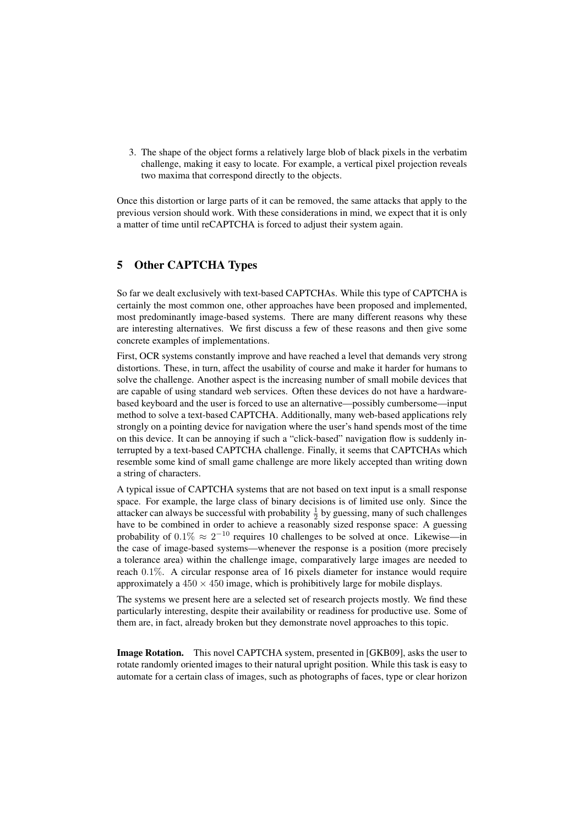3. The shape of the object forms a relatively large blob of black pixels in the verbatim challenge, making it easy to locate. For example, a vertical pixel projection reveals two maxima that correspond directly to the objects.

Once this distortion or large parts of it can be removed, the same attacks that apply to the previous version should work. With these considerations in mind, we expect that it is only a matter of time until reCAPTCHA is forced to adjust their system again.

### 5 Other CAPTCHA Types

So far we dealt exclusively with text-based CAPTCHAs. While this type of CAPTCHA is certainly the most common one, other approaches have been proposed and implemented, most predominantly image-based systems. There are many different reasons why these are interesting alternatives. We first discuss a few of these reasons and then give some concrete examples of implementations.

First, OCR systems constantly improve and have reached a level that demands very strong distortions. These, in turn, affect the usability of course and make it harder for humans to solve the challenge. Another aspect is the increasing number of small mobile devices that are capable of using standard web services. Often these devices do not have a hardwarebased keyboard and the user is forced to use an alternative—possibly cumbersome—input method to solve a text-based CAPTCHA. Additionally, many web-based applications rely strongly on a pointing device for navigation where the user's hand spends most of the time on this device. It can be annoying if such a "click-based" navigation flow is suddenly interrupted by a text-based CAPTCHA challenge. Finally, it seems that CAPTCHAs which resemble some kind of small game challenge are more likely accepted than writing down a string of characters.

A typical issue of CAPTCHA systems that are not based on text input is a small response space. For example, the large class of binary decisions is of limited use only. Since the attacker can always be successful with probability  $\frac{1}{2}$  by guessing, many of such challenges have to be combined in order to achieve a reasonably sized response space: A guessing probability of 0.1%  $\approx 2^{-10}$  requires 10 challenges to be solved at once. Likewise—in the case of image-based systems—whenever the response is a position (more precisely a tolerance area) within the challenge image, comparatively large images are needed to reach 0.1%. A circular response area of 16 pixels diameter for instance would require approximately a  $450 \times 450$  image, which is prohibitively large for mobile displays.

The systems we present here are a selected set of research projects mostly. We find these particularly interesting, despite their availability or readiness for productive use. Some of them are, in fact, already broken but they demonstrate novel approaches to this topic.

Image Rotation. This novel CAPTCHA system, presented in [GKB09], asks the user to rotate randomly oriented images to their natural upright position. While this task is easy to automate for a certain class of images, such as photographs of faces, type or clear horizon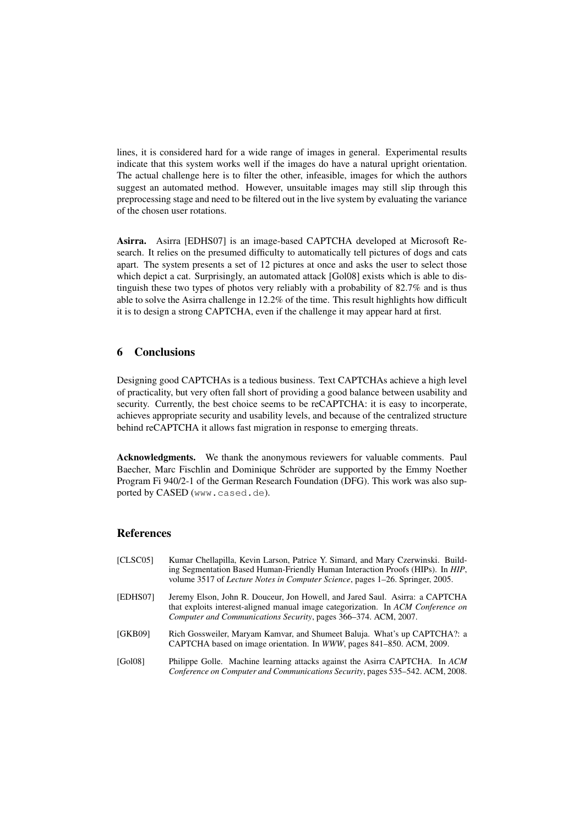lines, it is considered hard for a wide range of images in general. Experimental results indicate that this system works well if the images do have a natural upright orientation. The actual challenge here is to filter the other, infeasible, images for which the authors suggest an automated method. However, unsuitable images may still slip through this preprocessing stage and need to be filtered out in the live system by evaluating the variance of the chosen user rotations.

Asirra. Asirra [EDHS07] is an image-based CAPTCHA developed at Microsoft Research. It relies on the presumed difficulty to automatically tell pictures of dogs and cats apart. The system presents a set of 12 pictures at once and asks the user to select those which depict a cat. Surprisingly, an automated attack [Gol08] exists which is able to distinguish these two types of photos very reliably with a probability of 82.7% and is thus able to solve the Asirra challenge in 12.2% of the time. This result highlights how difficult it is to design a strong CAPTCHA, even if the challenge it may appear hard at first.

### 6 Conclusions

Designing good CAPTCHAs is a tedious business. Text CAPTCHAs achieve a high level of practicality, but very often fall short of providing a good balance between usability and security. Currently, the best choice seems to be reCAPTCHA: it is easy to incorperate, achieves appropriate security and usability levels, and because of the centralized structure behind reCAPTCHA it allows fast migration in response to emerging threats.

Acknowledgments. We thank the anonymous reviewers for valuable comments. Paul Baecher, Marc Fischlin and Dominique Schröder are supported by the Emmy Noether Program Fi 940/2-1 of the German Research Foundation (DFG). This work was also supported by CASED (www.cased.de).

### References

- [CLSC05] Kumar Chellapilla, Kevin Larson, Patrice Y. Simard, and Mary Czerwinski. Building Segmentation Based Human-Friendly Human Interaction Proofs (HIPs). In *HIP*, volume 3517 of *Lecture Notes in Computer Science*, pages 1–26. Springer, 2005.
- [EDHS07] Jeremy Elson, John R. Douceur, Jon Howell, and Jared Saul. Asirra: a CAPTCHA that exploits interest-aligned manual image categorization. In *ACM Conference on Computer and Communications Security*, pages 366–374. ACM, 2007.
- [GKB09] Rich Gossweiler, Maryam Kamvar, and Shumeet Baluja. What's up CAPTCHA?: a CAPTCHA based on image orientation. In *WWW*, pages 841–850. ACM, 2009.
- [Gol08] Philippe Golle. Machine learning attacks against the Asirra CAPTCHA. In *ACM Conference on Computer and Communications Security*, pages 535–542. ACM, 2008.